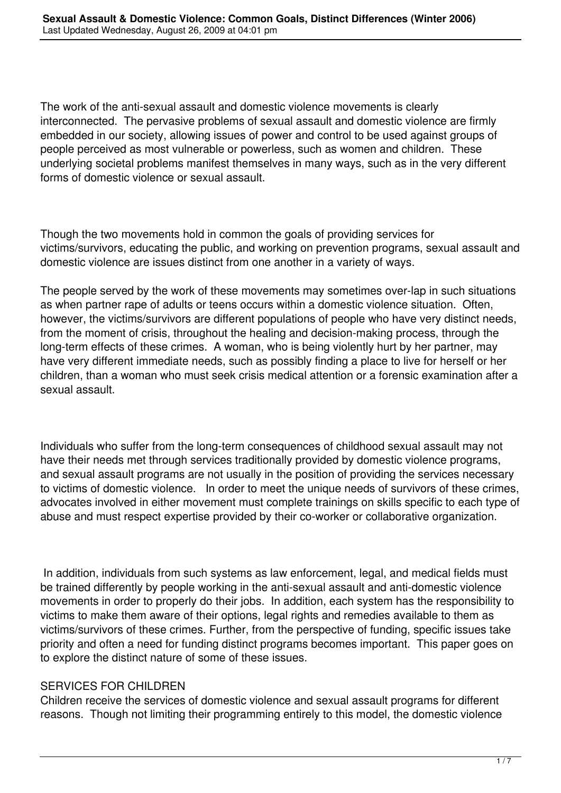The work of the anti-sexual assault and domestic violence movements is clearly interconnected. The pervasive problems of sexual assault and domestic violence are firmly embedded in our society, allowing issues of power and control to be used against groups of people perceived as most vulnerable or powerless, such as women and children. These underlying societal problems manifest themselves in many ways, such as in the very different forms of domestic violence or sexual assault.

Though the two movements hold in common the goals of providing services for victims/survivors, educating the public, and working on prevention programs, sexual assault and domestic violence are issues distinct from one another in a variety of ways.

The people served by the work of these movements may sometimes over-lap in such situations as when partner rape of adults or teens occurs within a domestic violence situation. Often, however, the victims/survivors are different populations of people who have very distinct needs, from the moment of crisis, throughout the healing and decision-making process, through the long-term effects of these crimes. A woman, who is being violently hurt by her partner, may have very different immediate needs, such as possibly finding a place to live for herself or her children, than a woman who must seek crisis medical attention or a forensic examination after a sexual assault.

Individuals who suffer from the long-term consequences of childhood sexual assault may not have their needs met through services traditionally provided by domestic violence programs, and sexual assault programs are not usually in the position of providing the services necessary to victims of domestic violence. In order to meet the unique needs of survivors of these crimes, advocates involved in either movement must complete trainings on skills specific to each type of abuse and must respect expertise provided by their co-worker or collaborative organization.

 In addition, individuals from such systems as law enforcement, legal, and medical fields must be trained differently by people working in the anti-sexual assault and anti-domestic violence movements in order to properly do their jobs. In addition, each system has the responsibility to victims to make them aware of their options, legal rights and remedies available to them as victims/survivors of these crimes. Further, from the perspective of funding, specific issues take priority and often a need for funding distinct programs becomes important. This paper goes on to explore the distinct nature of some of these issues.

## SERVICES FOR CHILDREN

Children receive the services of domestic violence and sexual assault programs for different reasons. Though not limiting their programming entirely to this model, the domestic violence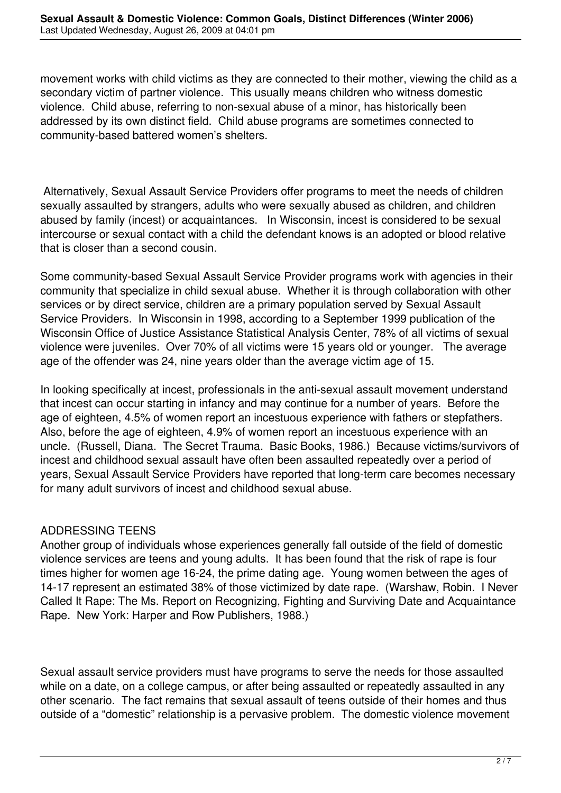movement works with child victims as they are connected to their mother, viewing the child as a secondary victim of partner violence. This usually means children who witness domestic violence. Child abuse, referring to non-sexual abuse of a minor, has historically been addressed by its own distinct field. Child abuse programs are sometimes connected to community-based battered women's shelters.

 Alternatively, Sexual Assault Service Providers offer programs to meet the needs of children sexually assaulted by strangers, adults who were sexually abused as children, and children abused by family (incest) or acquaintances. In Wisconsin, incest is considered to be sexual intercourse or sexual contact with a child the defendant knows is an adopted or blood relative that is closer than a second cousin.

Some community-based Sexual Assault Service Provider programs work with agencies in their community that specialize in child sexual abuse. Whether it is through collaboration with other services or by direct service, children are a primary population served by Sexual Assault Service Providers. In Wisconsin in 1998, according to a September 1999 publication of the Wisconsin Office of Justice Assistance Statistical Analysis Center, 78% of all victims of sexual violence were juveniles. Over 70% of all victims were 15 years old or younger. The average age of the offender was 24, nine years older than the average victim age of 15.

In looking specifically at incest, professionals in the anti-sexual assault movement understand that incest can occur starting in infancy and may continue for a number of years. Before the age of eighteen, 4.5% of women report an incestuous experience with fathers or stepfathers. Also, before the age of eighteen, 4.9% of women report an incestuous experience with an uncle. (Russell, Diana. The Secret Trauma. Basic Books, 1986.) Because victims/survivors of incest and childhood sexual assault have often been assaulted repeatedly over a period of years, Sexual Assault Service Providers have reported that long-term care becomes necessary for many adult survivors of incest and childhood sexual abuse.

## ADDRESSING TEENS

Another group of individuals whose experiences generally fall outside of the field of domestic violence services are teens and young adults. It has been found that the risk of rape is four times higher for women age 16-24, the prime dating age. Young women between the ages of 14-17 represent an estimated 38% of those victimized by date rape. (Warshaw, Robin. I Never Called It Rape: The Ms. Report on Recognizing, Fighting and Surviving Date and Acquaintance Rape. New York: Harper and Row Publishers, 1988.)

Sexual assault service providers must have programs to serve the needs for those assaulted while on a date, on a college campus, or after being assaulted or repeatedly assaulted in any other scenario. The fact remains that sexual assault of teens outside of their homes and thus outside of a "domestic" relationship is a pervasive problem. The domestic violence movement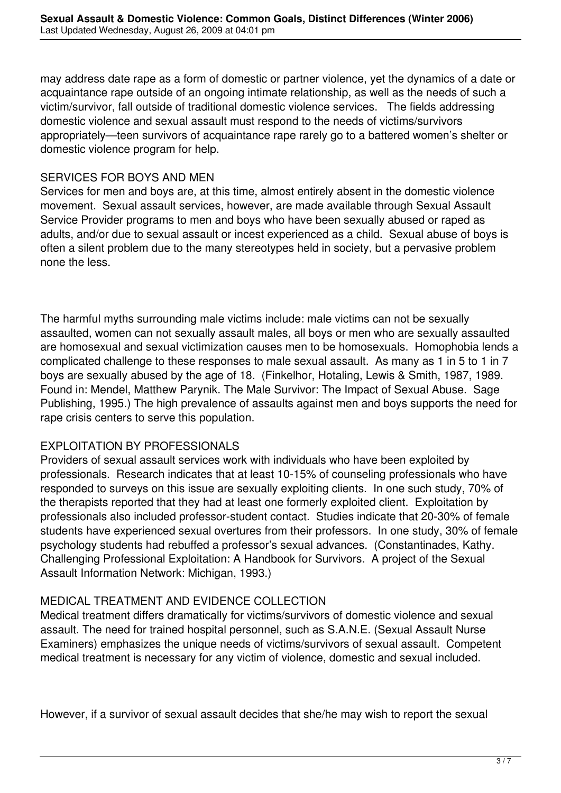may address date rape as a form of domestic or partner violence, yet the dynamics of a date or acquaintance rape outside of an ongoing intimate relationship, as well as the needs of such a victim/survivor, fall outside of traditional domestic violence services. The fields addressing domestic violence and sexual assault must respond to the needs of victims/survivors appropriately—teen survivors of acquaintance rape rarely go to a battered women's shelter or domestic violence program for help.

## SERVICES FOR BOYS AND MEN

Services for men and boys are, at this time, almost entirely absent in the domestic violence movement. Sexual assault services, however, are made available through Sexual Assault Service Provider programs to men and boys who have been sexually abused or raped as adults, and/or due to sexual assault or incest experienced as a child. Sexual abuse of boys is often a silent problem due to the many stereotypes held in society, but a pervasive problem none the less.

The harmful myths surrounding male victims include: male victims can not be sexually assaulted, women can not sexually assault males, all boys or men who are sexually assaulted are homosexual and sexual victimization causes men to be homosexuals. Homophobia lends a complicated challenge to these responses to male sexual assault. As many as 1 in 5 to 1 in 7 boys are sexually abused by the age of 18. (Finkelhor, Hotaling, Lewis & Smith, 1987, 1989. Found in: Mendel, Matthew Parynik. The Male Survivor: The Impact of Sexual Abuse. Sage Publishing, 1995.) The high prevalence of assaults against men and boys supports the need for rape crisis centers to serve this population.

## EXPLOITATION BY PROFESSIONALS

Providers of sexual assault services work with individuals who have been exploited by professionals. Research indicates that at least 10-15% of counseling professionals who have responded to surveys on this issue are sexually exploiting clients. In one such study, 70% of the therapists reported that they had at least one formerly exploited client. Exploitation by professionals also included professor-student contact. Studies indicate that 20-30% of female students have experienced sexual overtures from their professors. In one study, 30% of female psychology students had rebuffed a professor's sexual advances. (Constantinades, Kathy. Challenging Professional Exploitation: A Handbook for Survivors. A project of the Sexual Assault Information Network: Michigan, 1993.)

## MEDICAL TREATMENT AND EVIDENCE COLLECTION

Medical treatment differs dramatically for victims/survivors of domestic violence and sexual assault. The need for trained hospital personnel, such as S.A.N.E. (Sexual Assault Nurse Examiners) emphasizes the unique needs of victims/survivors of sexual assault. Competent medical treatment is necessary for any victim of violence, domestic and sexual included.

However, if a survivor of sexual assault decides that she/he may wish to report the sexual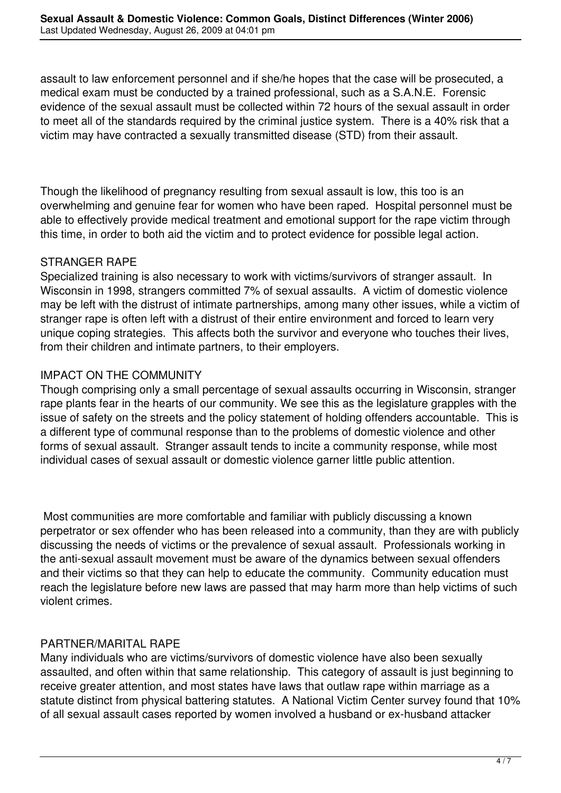assault to law enforcement personnel and if she/he hopes that the case will be prosecuted, a medical exam must be conducted by a trained professional, such as a S.A.N.E. Forensic evidence of the sexual assault must be collected within 72 hours of the sexual assault in order to meet all of the standards required by the criminal justice system. There is a 40% risk that a victim may have contracted a sexually transmitted disease (STD) from their assault.

Though the likelihood of pregnancy resulting from sexual assault is low, this too is an overwhelming and genuine fear for women who have been raped. Hospital personnel must be able to effectively provide medical treatment and emotional support for the rape victim through this time, in order to both aid the victim and to protect evidence for possible legal action.

## STRANGER RAPE

Specialized training is also necessary to work with victims/survivors of stranger assault. In Wisconsin in 1998, strangers committed 7% of sexual assaults. A victim of domestic violence may be left with the distrust of intimate partnerships, among many other issues, while a victim of stranger rape is often left with a distrust of their entire environment and forced to learn very unique coping strategies. This affects both the survivor and everyone who touches their lives, from their children and intimate partners, to their employers.

# IMPACT ON THE COMMUNITY

Though comprising only a small percentage of sexual assaults occurring in Wisconsin, stranger rape plants fear in the hearts of our community. We see this as the legislature grapples with the issue of safety on the streets and the policy statement of holding offenders accountable. This is a different type of communal response than to the problems of domestic violence and other forms of sexual assault. Stranger assault tends to incite a community response, while most individual cases of sexual assault or domestic violence garner little public attention.

 Most communities are more comfortable and familiar with publicly discussing a known perpetrator or sex offender who has been released into a community, than they are with publicly discussing the needs of victims or the prevalence of sexual assault. Professionals working in the anti-sexual assault movement must be aware of the dynamics between sexual offenders and their victims so that they can help to educate the community. Community education must reach the legislature before new laws are passed that may harm more than help victims of such violent crimes.

## PARTNER/MARITAL RAPE

Many individuals who are victims/survivors of domestic violence have also been sexually assaulted, and often within that same relationship. This category of assault is just beginning to receive greater attention, and most states have laws that outlaw rape within marriage as a statute distinct from physical battering statutes. A National Victim Center survey found that 10% of all sexual assault cases reported by women involved a husband or ex-husband attacker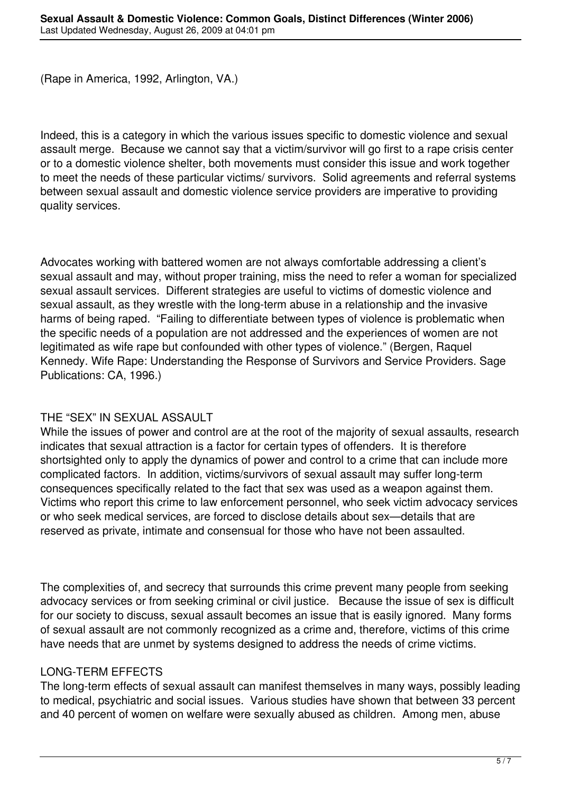(Rape in America, 1992, Arlington, VA.)

Indeed, this is a category in which the various issues specific to domestic violence and sexual assault merge. Because we cannot say that a victim/survivor will go first to a rape crisis center or to a domestic violence shelter, both movements must consider this issue and work together to meet the needs of these particular victims/ survivors. Solid agreements and referral systems between sexual assault and domestic violence service providers are imperative to providing quality services.

Advocates working with battered women are not always comfortable addressing a client's sexual assault and may, without proper training, miss the need to refer a woman for specialized sexual assault services. Different strategies are useful to victims of domestic violence and sexual assault, as they wrestle with the long-term abuse in a relationship and the invasive harms of being raped. "Failing to differentiate between types of violence is problematic when the specific needs of a population are not addressed and the experiences of women are not legitimated as wife rape but confounded with other types of violence." (Bergen, Raquel Kennedy. Wife Rape: Understanding the Response of Survivors and Service Providers. Sage Publications: CA, 1996.)

## THE "SEX" IN SEXUAL ASSAULT

While the issues of power and control are at the root of the majority of sexual assaults, research indicates that sexual attraction is a factor for certain types of offenders. It is therefore shortsighted only to apply the dynamics of power and control to a crime that can include more complicated factors. In addition, victims/survivors of sexual assault may suffer long-term consequences specifically related to the fact that sex was used as a weapon against them. Victims who report this crime to law enforcement personnel, who seek victim advocacy services or who seek medical services, are forced to disclose details about sex—details that are reserved as private, intimate and consensual for those who have not been assaulted.

The complexities of, and secrecy that surrounds this crime prevent many people from seeking advocacy services or from seeking criminal or civil justice. Because the issue of sex is difficult for our society to discuss, sexual assault becomes an issue that is easily ignored. Many forms of sexual assault are not commonly recognized as a crime and, therefore, victims of this crime have needs that are unmet by systems designed to address the needs of crime victims.

## LONG-TERM EFFECTS

The long-term effects of sexual assault can manifest themselves in many ways, possibly leading to medical, psychiatric and social issues. Various studies have shown that between 33 percent and 40 percent of women on welfare were sexually abused as children. Among men, abuse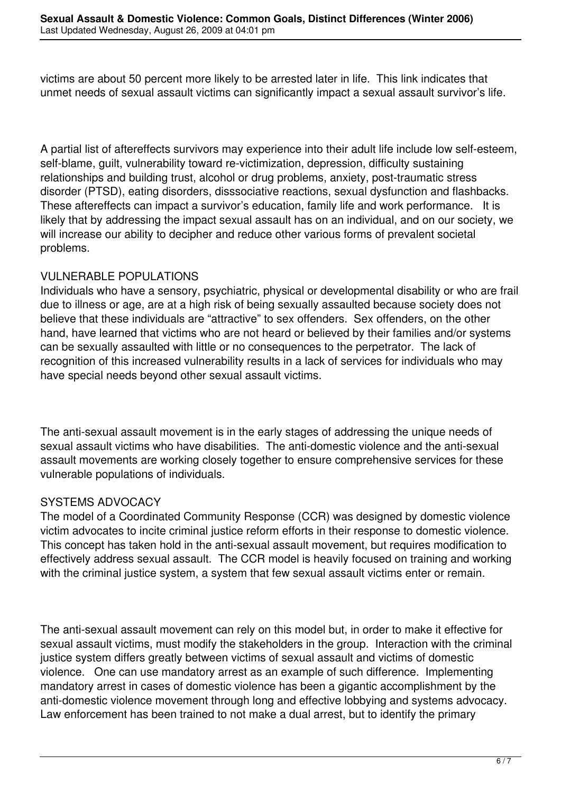victims are about 50 percent more likely to be arrested later in life. This link indicates that unmet needs of sexual assault victims can significantly impact a sexual assault survivor's life.

A partial list of aftereffects survivors may experience into their adult life include low self-esteem, self-blame, quilt, vulnerability toward re-victimization, depression, difficulty sustaining relationships and building trust, alcohol or drug problems, anxiety, post-traumatic stress disorder (PTSD), eating disorders, disssociative reactions, sexual dysfunction and flashbacks. These aftereffects can impact a survivor's education, family life and work performance. It is likely that by addressing the impact sexual assault has on an individual, and on our society, we will increase our ability to decipher and reduce other various forms of prevalent societal problems.

## VULNERABLE POPULATIONS

Individuals who have a sensory, psychiatric, physical or developmental disability or who are frail due to illness or age, are at a high risk of being sexually assaulted because society does not believe that these individuals are "attractive" to sex offenders. Sex offenders, on the other hand, have learned that victims who are not heard or believed by their families and/or systems can be sexually assaulted with little or no consequences to the perpetrator. The lack of recognition of this increased vulnerability results in a lack of services for individuals who may have special needs beyond other sexual assault victims.

The anti-sexual assault movement is in the early stages of addressing the unique needs of sexual assault victims who have disabilities. The anti-domestic violence and the anti-sexual assault movements are working closely together to ensure comprehensive services for these vulnerable populations of individuals.

## SYSTEMS ADVOCACY

The model of a Coordinated Community Response (CCR) was designed by domestic violence victim advocates to incite criminal justice reform efforts in their response to domestic violence. This concept has taken hold in the anti-sexual assault movement, but requires modification to effectively address sexual assault. The CCR model is heavily focused on training and working with the criminal justice system, a system that few sexual assault victims enter or remain.

The anti-sexual assault movement can rely on this model but, in order to make it effective for sexual assault victims, must modify the stakeholders in the group. Interaction with the criminal justice system differs greatly between victims of sexual assault and victims of domestic violence. One can use mandatory arrest as an example of such difference. Implementing mandatory arrest in cases of domestic violence has been a gigantic accomplishment by the anti-domestic violence movement through long and effective lobbying and systems advocacy. Law enforcement has been trained to not make a dual arrest, but to identify the primary